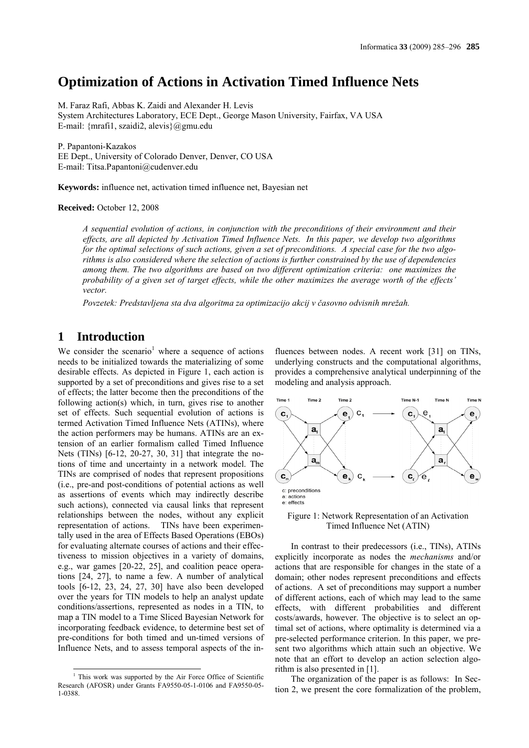# **Optimization of Actions in Activation Timed Influence Nets**

M. Faraz Rafi, Abbas K. Zaidi and Alexander H. Levis System Architectures Laboratory, ECE Dept., George Mason University, Fairfax, VA USA E-mail: {mrafi1, szaidi2, alevis}@gmu.edu

P. Papantoni-Kazakos

EE Dept., University of Colorado Denver, Denver, CO USA E-mail: Titsa.Papantoni@cudenver.edu

**Keywords:** influence net, activation timed influence net, Bayesian net

**Received:** October 12, 2008

*A sequential evolution of actions, in conjunction with the preconditions of their environment and their effects, are all depicted by Activation Timed Influence Nets. In this paper, we develop two algorithms for the optimal selections of such actions, given a set of preconditions. A special case for the two algorithms is also considered where the selection of actions is further constrained by the use of dependencies among them. The two algorithms are based on two different optimization criteria: one maximizes the probability of a given set of target effects, while the other maximizes the average worth of the effects' vector.*

*Povzetek: Predstavljena sta dva algoritma za optimizacijo akcij v časovno odvisnih mrežah.*

# **1 Introduction**

We consider the scenario<sup>1</sup> where a sequence of actions needs to be initialized towards the materializing of some desirable effects. As depicted in Figure 1, each action is supported by a set of preconditions and gives rise to a set of effects; the latter become then the preconditions of the following action(s) which, in turn, gives rise to another set of effects. Such sequential evolution of actions is termed Activation Timed Influence Nets (ATINs), where the action performers may be humans. ATINs are an extension of an earlier formalism called Timed Influence Nets (TINs) [6-12, 20-27, 30, 31] that integrate the notions of time and uncertainty in a network model. The TINs are comprised of nodes that represent propositions (i.e., pre-and post-conditions of potential actions as well as assertions of events which may indirectly describe such actions), connected via causal links that represent relationships between the nodes, without any explicit representation of actions. TINs have been experimentally used in the area of Effects Based Operations (EBOs) for evaluating alternate courses of actions and their effectiveness to mission objectives in a variety of domains, e.g., war games [20-22, 25], and coalition peace operations [24, 27], to name a few. A number of analytical tools [6-12, 23, 24, 27, 30] have also been developed over the years for TIN models to help an analyst update conditions/assertions, represented as nodes in a TIN, to map a TIN model to a Time Sliced Bayesian Network for incorporating feedback evidence, to determine best set of pre-conditions for both timed and un-timed versions of Influence Nets, and to assess temporal aspects of the in-

l

fluences between nodes. A recent work [31] on TINs, underlying constructs and the computational algorithms, provides a comprehensive analytical underpinning of the modeling and analysis approach.



Figure 1: Network Representation of an Activation Timed Influence Net (ATIN)

In contrast to their predecessors (i.e., TINs), ATINs explicitly incorporate as nodes the *mechanisms* and/or actions that are responsible for changes in the state of a domain; other nodes represent preconditions and effects of actions. A set of preconditions may support a number of different actions, each of which may lead to the same effects, with different probabilities and different costs/awards, however. The objective is to select an optimal set of actions, where optimality is determined via a pre-selected performance criterion. In this paper, we present two algorithms which attain such an objective. We note that an effort to develop an action selection algorithm is also presented in [1].

The organization of the paper is as follows: In Section 2, we present the core formalization of the problem,

<sup>&</sup>lt;sup>1</sup> This work was supported by the Air Force Office of Scientific Research (AFOSR) under Grants FA9550-05-1-0106 and FA9550-05- 1-0388.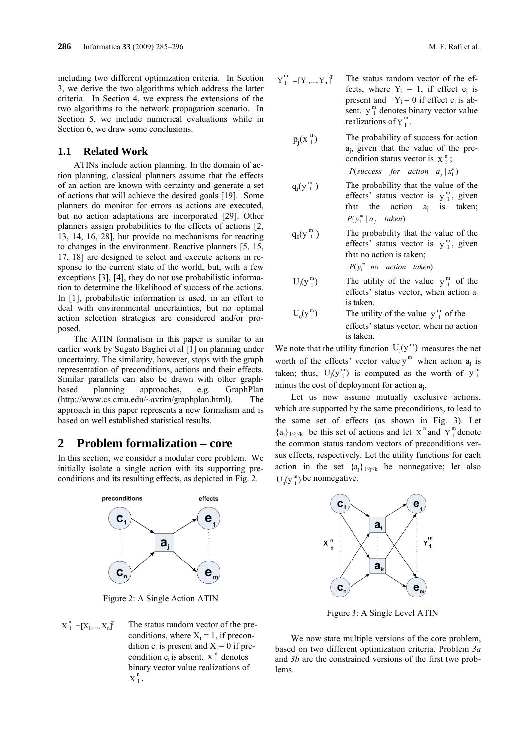including two different optimization criteria. In Section 3, we derive the two algorithms which address the latter criteria. In Section 4, we express the extensions of the two algorithms to the network propagation scenario. In Section 5, we include numerical evaluations while in Section 6, we draw some conclusions.

## **1.1 Related Work**

ATINs include action planning. In the domain of action planning, classical planners assume that the effects of an action are known with certainty and generate a set of actions that will achieve the desired goals [19]. Some planners do monitor for errors as actions are executed, but no action adaptations are incorporated [29]. Other planners assign probabilities to the effects of actions [2, 13, 14, 16, 28], but provide no mechanisms for reacting to changes in the environment. Reactive planners [5, 15, 17, 18] are designed to select and execute actions in response to the current state of the world, but, with a few exceptions [3], [4], they do not use probabilistic information to determine the likelihood of success of the actions. In [1], probabilistic information is used, in an effort to deal with environmental uncertainties, but no optimal action selection strategies are considered and/or proposed.

The ATIN formalism in this paper is similar to an earlier work by Sugato Baghci et al [1] on planning under uncertainty. The similarity, however, stops with the graph representation of preconditions, actions and their effects. Similar parallels can also be drawn with other graphbased planning approaches, e.g. GraphPlan (http://www.cs.cmu.edu/~avrim/graphplan.html). The approach in this paper represents a new formalism and is based on well established statistical results.

# **2 Problem formalization – core**

In this section, we consider a modular core problem. We initially isolate a single action with its supporting preconditions and its resulting effects, as depicted in Fig. 2.



Figure 2: A Single Action ATIN

 $\sum_{1}^{n}$  = [X<sub>1</sub>,..., X<sub>n</sub>]<sup>T</sup> The status random vector of the preconditions, where  $X_i = 1$ , if precondition  $c_i$  is present and  $X_i = 0$  if precondition  $c_i$  is absent.  $X_1^n$  denotes binary vector value realizations of  $X_1^n$ .

$$
Y_1^m = [Y_1, ..., Y_m]^T
$$
 The status random vector of the effects, where  $Y_i = 1$ , if effect  $e_i$  is present and  $Y_i = 0$  if effect  $e_i$  is absent.  $y_1^m$  denotes binary vector value realizations of  $Y_1^m$ .

 $p_i(x_1^n)$ The probability of success for action aj, given that the value of the precondition status vector is  $x_1^n$ ;

 $P$ (success *for action*  $a_j | x_1^n$ )

- $q_j(y_1^m)$ The probability that the value of the effects' status vector is  $y_1^m$ , given that the action  $a_j$  is taken;  $P(y_1^m | a_j$  *taken*)
- $q_0(y_1^m)$ The probability that the value of the effects' status vector is  $y_1^m$ , given that no action is taken;  $P(y_1^m | no \text{ action } taken)$
- $U_i(y_1^m)$  $j_j(y_1^m)$  The utility of the value  $y_1^m$  of the effects' status vector, when action  $a_i$ is taken.
- $U_0(y_1^m)$  $\mathcal{L}_0(\mathbf{y}_1^m)$  The utility of the value  $\mathbf{y}_1^m$  of the effects' status vector, when no action is taken.

We note that the utility function  $U_j(y_1^m)$  measures the net worth of the effects' vector value  $y_1^m$  when action  $a_j$  is taken; thus,  $U_j(y_1^m)$  is computed as the worth of  $y_1^m$ minus the cost of deployment for action aj.

Let us now assume mutually exclusive actions, which are supported by the same preconditions, to lead to the same set of effects (as shown in Fig. 3). Let  ${a_j}_{1 \le j \le k}$  be this set of actions and let  $X_1^n$  and  $Y_1^m$  denote the common status random vectors of preconditions versus effects, respectively. Let the utility functions for each action in the set  ${a_j}_{1 \leq j \leq k}$  be nonnegative; let also  $U_0(y_1^m)$  be nonnegative.



Figure 3: A Single Level ATIN

We now state multiple versions of the core problem. based on two different optimization criteria. Problem *3a* and *3b* are the constrained versions of the first two problems.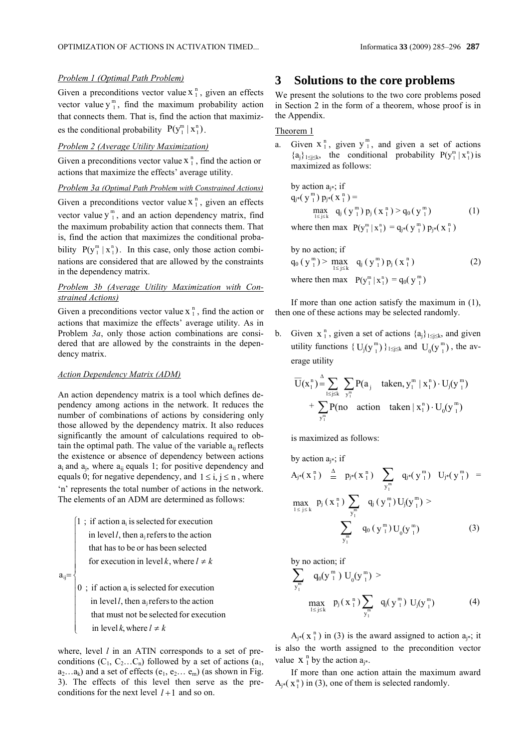## *Problem 1 (Optimal Path Problem)*

Given a preconditions vector value  $x_1^n$ , given an effects vector value  $y_1^m$ , find the maximum probability action that connects them. That is, find the action that maximizes the conditional probability  $P(y_1^m | x_1^n)$ .

#### *Problem 2 (Average Utility Maximization)*

Given a preconditions vector value  $x_1^n$ , find the action or actions that maximize the effects' average utility.

*Problem 3a (Optimal Path Problem with Constrained Actions)*

Given a preconditions vector value  $x_1^n$ , given an effects vector value  $y_1^m$ , and an action dependency matrix, find the maximum probability action that connects them. That is, find the action that maximizes the conditional probability  $P(y_1^m | x_1^n)$ . In this case, only those action combinations are considered that are allowed by the constraints in the dependency matrix.

### *Problem 3b (Average Utility Maximization with Constrained Actions)*

Given a preconditions vector value  $x_1^n$ , find the action or actions that maximize the effects' average utility. As in Problem *3a*, only those action combinations are considered that are allowed by the constraints in the dependency matrix.

### *Action Dependency Matrix (ADM)*

An action dependency matrix is a tool which defines dependency among actions in the network. It reduces the number of combinations of actions by considering only those allowed by the dependency matrix. It also reduces significantly the amount of calculations required to obtain the optimal path. The value of the variable  $a_{ii}$  reflects the existence or absence of dependency between actions  $a_i$  and  $a_j$ , where  $a_{ii}$  equals 1; for positive dependency and equals 0; for negative dependency, and  $1 \le i, j \le n$ , where 'n' represents the total number of actions in the network. The elements of an ADM are determined as follows:

 $\overline{ }$  $\overline{1}$  $\overline{\phantom{a}}$  $\overline{\phantom{a}}$  $\overline{\phantom{a}}$  $\overline{\phantom{a}}$  $\left(1; \text{if action } a_i \text{ is selected for execution}\right)$ for execution in level k, where  $l \neq k$ in level *l*, then  $a_j$  refers to the action that has to be or has been selected

 $a_{ij} =$ 

 $\overline{1}$  $\overline{\phantom{a}}$  $\overline{\phantom{a}}$  $\overline{\phantom{a}}$  $\overline{\phantom{a}}$ 

₹

 $\mathfrak{r}$ 

 $\vert 0$ ; if action  $a_i$  is selected for execution in level *k*, where  $l \neq k$ in level *l*, then  $a_j$  refers to the action that must not be selected for execution

where, level *l* in an ATIN corresponds to a set of preconditions  $(C_1, C_2...C_n)$  followed by a set of actions  $(a_1, a_2)$  $a_2...a_k$ ) and a set of effects ( $e_1, e_2... e_m$ ) (as shown in Fig. 3). The effects of this level then serve as the preconditions for the next level  $l+1$  and so on.

# **3 Solutions to the core problems**

We present the solutions to the two core problems posed in Section 2 in the form of a theorem, whose proof is in the Appendix.

### Theorem 1

a. Given  $x_1^n$ , given  $y_1^m$ , and given a set of actions  ${a_j}_{1 \leq j \leq k}$ , the conditional probability  $P(y_1^m | x_1^n)$  is maximized as follows:

by action 
$$
a_{j^*}
$$
; if  
\n $q_{j^*}(y_1^m) p_{j^*}(x_1^n) =$   
\n
$$
\max_{1 \le j \le k} q_j (y_1^m) p_j (x_1^n) > q_0 (y_1^m)
$$
\n(1)

where then max  $P(y_1^m | x_1^n) = q_{j*}(y_1^m) p_{j*}(x_1^n)$ 

by no action; if  
\n
$$
q_0 (y_1^m) > \max_{1 \le j \le k} q_j (y_1^m) p_j (x_1^n)
$$
 (2)  
\nwhere then max  $P(y_1^m | x_1^n) = q_0 (y_1^m)$ 

If more than one action satisfy the maximum in (1), then one of these actions may be selected randomly.

b. Given  $x_1^n$ , given a set of actions  $\{a_i\}_{1\leq i\leq k}$ , and given utility functions  $\{U_j(y_{1}^m)\}_{1 \le j \le k}$  and  $U_0(y_{1}^m)$ , the average utility

$$
\overline{U}(x_1^n) \stackrel{\Delta}{=} \sum_{1 \le j \le k} \sum_{y_1^m} P(a_j \quad \text{taken, } y_1^m \mid x_1^n) \cdot U_j(y_1^m)
$$

$$
+ \sum_{y_1^m} P(no \quad \text{action} \quad \text{taken} \mid x_1^n) \cdot U_0(y_1^m)
$$

is maximized as follows:

 $b$ y action  $\alpha$  ; if

$$
A_{j^{*}}(x_{1}^{n}) \stackrel{\Delta}{=} p_{j^{*}}(x_{1}^{n}) \sum_{y_{1}^{m}} q_{j^{*}}(y_{1}^{m}) U_{j^{*}}(y_{1}^{m}) =
$$
  

$$
\max_{1 \leq j \leq k} p_{j}(x_{1}^{n}) \sum_{y_{1}^{m}} q_{j}(y_{1}^{m}) U_{j}(y_{1}^{m}) >
$$
  

$$
\sum_{y_{1}^{m}} q_{0}(y_{1}^{m}) U_{0}(y_{1}^{m})
$$
 (3)

by no action; if

$$
\sum_{y_1^m} q_0(y_1^m) U_0(y_1^m) >
$$
  
\n
$$
\max_{1 \le j \le k} p_j(x_1^n) \sum_{y_1^m} q_j(y_1^m) U_j(y_1^m)
$$
 (4)

 $A_{j^*}(\mathbf{x}_1^n)$  in (3) is the award assigned to action  $a_{j^*}$ ; it is also the worth assigned to the precondition vector value  $X_1^n$  by the action  $a_{i^*}$ .

If more than one action attain the maximum award  $A_{i^*}(x_1^n)$  in (3), one of them is selected randomly.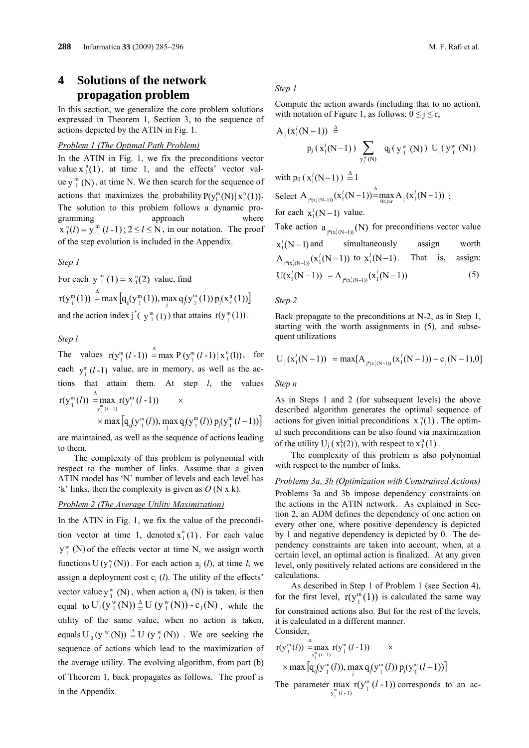# **4 Solutions of the network propagation problem**

In this section, we generalize the core problem solutions expressed in Theorem 1, Section 3, to the sequence of actions depicted by the ATIN in Fig. 1.

#### *Problem 1 (The Optimal Path Problem)*

In the ATIN in Fig. 1, we fix the preconditions vector value  $x_1^n(1)$ , at time 1, and the effects' vector value  $y_1^m(N)$ , at time N. We then search for the sequence of actions that maximizes the probability  $P(y_1^m(N) | x_1^n(1))$ . The solution to this problem follows a dynamic programming approach where  $x_i^n(l) = y_i^m (l-1)$ ;  $2 \le l \le N$ , in our notation. The proof of the step evolution is included in the Appendix.

*Step 1*

For each  $y_1^m(1) = x_1^n(2)$  value, find  $r(y_1^m(1)) = \max [q_0(y_1^m(1)), \max_j q_j(y_1^m(1)) p_j(x_1^n(1))]$ 1  $\overset{\Delta}{=}$ and the action index  $j^*(y_1^m(1))$  that attains  $r(y_1^m(1))$ .

### *Step l*

The values  $r(y_1^m (l-1)) = \max P(y_1^m (l-1) | x_1^n(l))$ , for each  $y_1^m(l-1)$  value, are in memory, as well as the actions that attain them. At step *l*, the values  $r(y_1^m(l)) = \max_{y_i^m(l-1)} r(y_1^m(l-1))$  $1 \binom{1 \cdot 1}{1}$ *l*)  $=$   $\max_{y_i^m(l-1)} r(y_i^m(l-1))$  ×  $\propto$  max  $\left[q_0(y_1^m(l)), \max_j q_j(y_1^m(l)) p_j(y_1^m(l-1))\right]$ 

are maintained, as well as the sequence of actions leading to them.

The complexity of this problem is polynomial with respect to the number of links. Assume that a given ATIN model has 'N' number of levels and each level has 'k' links, then the complexity is given as *O* (N x k).

### *Problem 2 (The Average Utility Maximization)*

In the ATIN in Fig. 1, we fix the value of the precondition vector at time 1, denoted  $x_1^n(1)$ . For each value  $y_1^w$  (N) of the effects vector at time N, we assign worth functions  $U(y_1^w(N))$ . For each action  $a_j$  (*l*), at time *l*, we assign a deployment cost  $c_i$  (*l*). The utility of the effects' vector value  $y_1^w(N)$ , when action  $a_j(N)$  is taken, is then equal to  $U_j(y_1^w(N)) \triangleq U(y_1^w(N)) - c_j(N)$ , while the utility of the same value, when no action is taken, equals U<sub>0</sub> (y  $_{1}^{w}$  (N))  $\stackrel{\Delta}{=}$  U (y  $_{1}^{w}$  (N))  $\stackrel{\Delta}{=}$  U (y  $\stackrel{w}{\scriptscriptstyle{1}}$  (N)). We are seeking the sequence of actions which lead to the maximization of the average utility. The evolving algorithm, from part (b) of Theorem 1, back propagates as follows. The proof is in the Appendix.

### *Step 1*

Compute the action awards (including that to no action), with notation of Figure 1, as follows:  $0 \le j \le r$ ;

$$
A_{j}(x'_{1}(N-1)) \triangleq p_{j}(x'_{1}(N-1)) \sum_{y_{1}^{w}(N)} q_{j}(y_{1}^{w}(N)) U_{j}(y_{1}^{w}(N))
$$

with  $p_0$  ( $x_1^l(N-1)$ )  $\stackrel{\Delta}{=} 1$ 

Select 
$$
A_{j^*(x_1(N-1))}(x_1^1(N-1)) = \max_{0 \le j \le r} A_j(x_1^1(N-1))
$$
;  
for each  $x_1^1(N-1)$  value.

Take action  $a_{\frac{1}{i} (N - 1)}(N)$  for preconditions vector value  $x_1^l(N-1)$  and simultaneously assign worth  $A_{j^*(x_1^j(N-1))}(x_1^j(N-1))$  to  $x_1^j(N-1)$ . That is, assign:  $U(x_1^l(N-1)) = A_{j^*(x_1^l(N-1))}(x_1^l(N-1))$  (5)

*Step 2*

Back propagate to the preconditions at N-2, as in Step 1, starting with the worth assignments in (5), and subsequent utilizations

$$
U_j(x_1^l(N-1)) = max[A_{j^*(x_1^l(N-1))}(x_1^l(N-1)) - c_j(N-1), 0]
$$

*Step n*

As in Steps 1 and 2 (for subsequent levels) the above described algorithm generates the optimal sequence of actions for given initial preconditions  $x_1^n(1)$ . The optimal such preconditions can be also found via maximization of the utility  $U_j$  ( $x_1^k(2)$ ), with respect to  $x_1^n(1)$ .

The complexity of this problem is also polynomial with respect to the number of links.

#### *Problems 3a, 3b (Optimization with Constrained Actions)*

Problems 3a and 3b impose dependency constraints on the actions in the ATIN network. As explained in Section 2, an ADM defines the dependency of one action on every other one, where positive dependency is depicted by 1 and negative dependency is depicted by 0. The dependency constraints are taken into account, when, at a certain level, an optimal action is finalized. At any given level, only positively related actions are considered in the calculations.

As described in Step 1 of Problem 1 (see Section 4), for the first level,  $r(y_1^m(1))$  is calculated the same way for constrained actions also. But for the rest of the levels, it is calculated in a different manner. Consider,

$$
\begin{array}{l}\nr(y_1^m(l)) \stackrel{\Delta}{=} \max_{y_1^m(l-1)} r(y_1^m(l-1)) \times \\
\times \max\left[q_0(y_1^m(l)), \max_{j} q_j(y_1^m(l)) p_j(y_1^m(l-1))\right]\n\end{array}
$$

The parameter max  $r(y_1^m (l-1))$  corresponds to an ac $y_1^m (l-1)$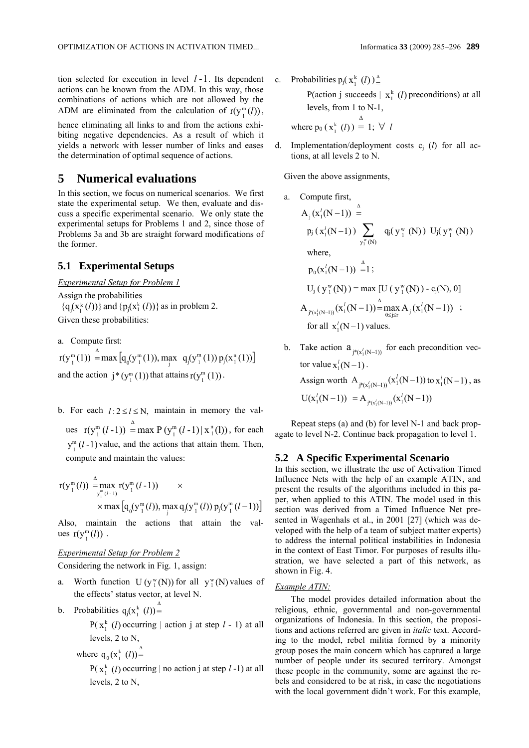tion selected for execution in level  $l-1$ . Its dependent actions can be known from the ADM. In this way, those combinations of actions which are not allowed by the ADM are eliminated from the calculation of  $r(y_1^m(l))$ ,

hence eliminating all links to and from the actions exhibiting negative dependencies. As a result of which it yields a network with lesser number of links and eases the determination of optimal sequence of actions.

# **5 Numerical evaluations**

In this section, we focus on numerical scenarios. We first state the experimental setup. We then, evaluate and discuss a specific experimental scenario. We only state the experimental setups for Problems 1 and 2, since those of Problems 3a and 3b are straight forward modifications of the former.

## **5.1 Experimental Setups**

*Experimental Setup for Problem 1* Assign the probabilities  ${q_i(x_i^k(l))}$  and  ${p_i(x_i^k(l))}$  as in problem 2. Given these probabilities:

a. Compute first:

 $r(y_1^m(1)) = \max [q_0(y_1^m(1)), \max_j q_j(y_1^m(1)) p_j(x_1^n(1))]$ 1  $\sum_{n=1}^{\infty}$  max  $[q_n(y_n^m(1)), \max q_n(y_n^m(1)) p_n(x_n^m(1))]$ and the action  $j^*(y_1^m(1))$  that attains  $r(y_1^m(1))$ .

b. For each  $l: 2 \le l \le N$ , maintain in memory the values  $r(y_1^m(l-1)) = \max P(y_1^m(l-1) | x_1^n(l))$ 1  $_{1}^{m}$  (*l* -1)) = max P ( $y_{1}^{m}$  (*l* -1) |  $x_{1}^{n}$  (*l*)), for each  $y_1^m$  (*l* -1) value, and the actions that attain them. Then, compute and maintain the values:

$$
r(y_1^m(l)) \stackrel{\Delta}{=} \max_{y_1^m(l-1)} r(y_1^m(l-1)) \times
$$
  
× max  $\left[q_0(y_1^m(l)), \max_{j} q_j(y_1^m(l)) p_j(y_1^m(l-1))\right]$ 

Also, maintain the actions that attain the values  $r(y_l^m(l))$ .

### *Experimental Setup for Problem 2*

Considering the network in Fig. 1, assign:

- a. Worth function  $U(y_1^w(N))$  for all  $y_1^w(N)$  values of the effects' status vector, at level N.
- b. Probabilities  $q_j(x_1^k (l))$ <sup> $\triangleq$ </sup>

 $P(x_1^k (l))$  occurring | action j at step  $l - 1$ ) at all levels, 2 to N,

where 
$$
q_0(x_1^k(l)) \stackrel{\Delta}{=}
$$

 $P(x_1^k (l))$  occurring | no action j at step  $l-1$ ) at all levels, 2 to N,

c. Probabilities  $p_j(x_1^k(l))_+^A$ P(action j succeeds  $\mid x_1^k$  (*l*) preconditions) at all levels, from 1 to N-1, where  $p_0(x_1^k(l))$  $\stackrel{\Delta}{=}$  1;  $\forall$  *l* 

d. Implementation/deployment costs cj (*l*) for all actions, at all levels 2 to N.

Given the above assignments,

a. Compute first,  
\n
$$
A_j(x_1^l(N-1)) \xrightarrow{A}
$$
  
\n $p_j(x_1^l(N-1)) \sum_{y_1^w(N)} q_j(y_1^w(N)) U_j(y_1^w(N))$   
\nwhere,  
\n $p_0(x_1^l(N-1)) \xrightarrow{A} 1;$   
\n $U_j(y_1^w(N)) = \max [U(y_1^w(N)) - c_j(N), 0]$   
\n $A_{j^w(x_1^l(N-1))}(x_1^l(N-1)) = \max_{0 \le j \le r} A_j(x_1^l(N-1)) ;$   
\nfor all  $x_1^l(N-1)$  values.

b. Take action  $a_{j*(x_1^j(N-1))}$  for each precondition vector value  $x_i^l(N-1)$ . Assign worth  $A_{j^*(x_1^j(N-1))}(x_1^j(N-1))$  to  $x_1^j(N-1)$ , as  $U(x_1^l(N-1)) = A_{j^*(x_1^l(N-1))}(x_1^l(N-1))$ 

Repeat steps (a) and (b) for level N-1 and back propagate to level N-2. Continue back propagation to level 1.

### **5.2 A Specific Experimental Scenario**

In this section, we illustrate the use of Activation Timed Influence Nets with the help of an example ATIN, and present the results of the algorithms included in this paper, when applied to this ATIN. The model used in this section was derived from a Timed Influence Net presented in Wagenhals et al., in 2001 [27] (which was developed with the help of a team of subject matter experts) to address the internal political instabilities in Indonesia in the context of East Timor. For purposes of results illustration, we have selected a part of this network, as shown in Fig. 4.

#### *Example ATIN:*

The model provides detailed information about the religious, ethnic, governmental and non-governmental organizations of Indonesia. In this section, the propositions and actions referred are given in *italic* text. According to the model, rebel militia formed by a minority group poses the main concern which has captured a large number of people under its secured territory. Amongst these people in the community, some are against the rebels and considered to be at risk, in case the negotiations with the local government didn't work. For this example,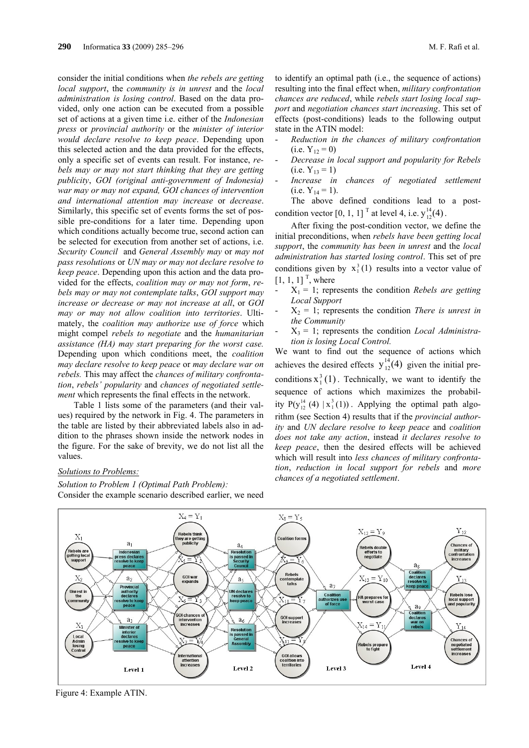consider the initial conditions when *the rebels are getting local support*, the *community is in unrest* and the *local administration is losing control*. Based on the data provided, only one action can be executed from a possible set of actions at a given time i.e. either of the *Indonesian press* or *provincial authority* or the *minister of interior would declare resolve to keep peace*. Depending upon this selected action and the data provided for the effects, only a specific set of events can result. For instance, *rebels may or may not start thinking that they are getting publicity*, *GOI (original anti-government of Indonesia) war may or may not expand, GOI chances of intervention and international attention may increase* or *decrease*. Similarly, this specific set of events forms the set of possible pre-conditions for a later time. Depending upon which conditions actually become true, second action can be selected for execution from another set of actions, i.e. *Security Council* and *General Assembly may* or *may not pass resolutions* or *UN may or may not declare resolve to keep peace*. Depending upon this action and the data provided for the effects, *coalition may or may not form*, *rebels may or may not contemplate talks*, *GOI support may increase or decrease or may not increase at all*, or *GOI may or may not allow coalition into territories*. Ultimately, the *coalition may authorize use of force* which might compel *rebels to negotiate* and the *humanitarian assistance (HA) may start preparing for the worst case.* Depending upon which conditions meet, the *coalition may declare resolve to keep peace* or *may declare war on rebels.* This may affect the *chances of military confrontation*, *rebels' popularity* and *chances of negotiated settlement* which represents the final effects in the network.

Table 1 lists some of the parameters (and their values) required by the network in Fig. 4. The parameters in the table are listed by their abbreviated labels also in addition to the phrases shown inside the network nodes in the figure. For the sake of brevity, we do not list all the values.

#### *Solutions to Problems:*

*Solution to Problem 1 (Optimal Path Problem):* Consider the example scenario described earlier, we need

to identify an optimal path (i.e., the sequence of actions) resulting into the final effect when, *military confrontation chances are reduced*, while *rebels start losing local support* and *negotiation chances start increasing*. This set of effects (post-conditions) leads to the following output state in the ATIN model:

- *Reduction in the chances of military confrontation*  $(i.e. Y<sub>12</sub> = 0)$
- *Decrease in local support and popularity for Rebels* (i.e.  $Y_{13} = 1$ )<br>*Increase in*
- *Increase in chances of negotiated settlement*  $(i.e. Y<sub>14</sub> = 1).$

The above defined conditions lead to a postcondition vector [0, 1, 1]<sup>T</sup> at level 4, i.e.  $y_{12}^{14}(4)$ .

After fixing the post-condition vector, we define the initial preconditions, when *rebels have been getting local support*, the *community has been in unrest* and the *local administration has started losing control*. This set of pre conditions given by  $x_1^3(1)$  results into a vector value of  $[1, 1, 1]$ <sup>T</sup>, where

- $X_1 = 1$ ; represents the condition *Rebels are getting Local Support*
- $X_2 = 1$ ; represents the condition *There is unrest in the Community*
- $X_3 = 1$ ; represents the condition *Local Administration is losing Local Control.*

We want to find out the sequence of actions which achieves the desired effects  $y_{12}^{14}(4)$  given the initial preconditions  $x_1^3(1)$ . Technically, we want to identify the sequence of actions which maximizes the probability  $P(y_{12}^{14}(4) | x_1^3(1))$ . Applying the optimal path algorithm (see Section 4) results that if the *provincial authority* and *UN declare resolve to keep peace* and *coalition does not take any action*, instead *it declares resolve to keep peace*, then the desired effects will be achieved which will result into *less chances of military confrontation*, *reduction in local support for rebels* and *more chances of a negotiated settlement*.



Figure 4: Example ATIN.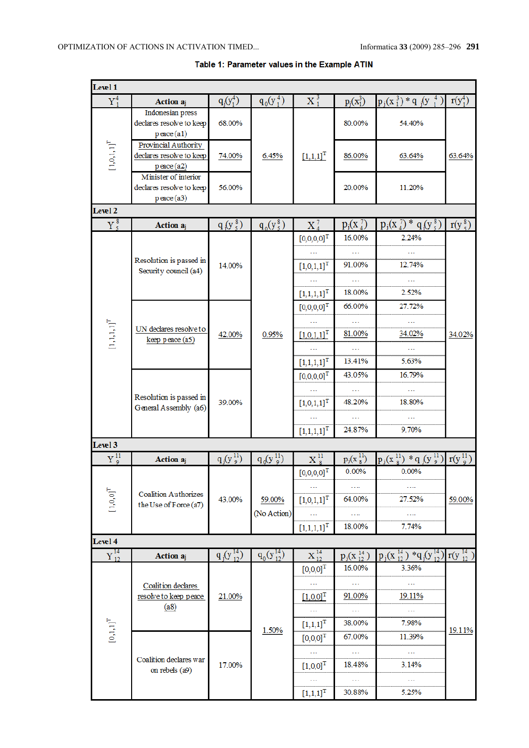| Level 1                        |                                                                            |                    |                    |                                           |                     |                                         |                  |  |
|--------------------------------|----------------------------------------------------------------------------|--------------------|--------------------|-------------------------------------------|---------------------|-----------------------------------------|------------------|--|
| ${\rm Y}_1^4$                  | Action aj                                                                  | $q_j(y_1^4)$       | $q_0(y_1^4)$       | $X_1^3$                                   | $p_j(x_1^3)$        | $p_j(x_1^3)*q_j(y_1^4)$                 | $r(y_1^4)$       |  |
|                                | Indonesian press<br>declares resolve to keep<br>$p$ eace $(a1)$            | 68.00%             |                    |                                           | 80.00%              | 54.40%                                  |                  |  |
| $\left[1,0,1,1\right]^{\rm T}$ | <b>Provincial Authority</b><br>declares resolve to keep<br>$p$ eace $(a2)$ | 74.00%             | 6.45%              | $[1,1,1]^{T}$                             | 86.00%              | 63.64%                                  | 63.64%           |  |
|                                | Minister of interior<br>declares resolve to keep<br>$p$ eace $(a3)$        | 56.00%             |                    |                                           | 20.00%              | 11.20%                                  |                  |  |
| Level 2                        |                                                                            |                    |                    |                                           |                     |                                         |                  |  |
| $Y_{5}^{8}$                    | Action a <sub>j</sub>                                                      | $q_{1}(y_{5}^{8})$ | $q_0(y_5^8)$       | $X_4^7$                                   | $p_j(x_4^{\gamma})$ | $p_j(x_4^7) * q_j(y_5^8)$               | $r(y_5^8)$       |  |
|                                |                                                                            |                    |                    | $[0,0,0,0]^{T}$                           | 16.00%              | 2.24%                                   |                  |  |
|                                | Resolution is passed in                                                    | 14.00%             |                    | $\left[1{,}0{,}1{,}1\right]^{\text{T}}$   | 91.00%              | 12.74%                                  |                  |  |
|                                | Security council (a4)                                                      |                    |                    |                                           | a a a               | 222                                     |                  |  |
|                                |                                                                            |                    |                    | $[1,1,1,1]$ <sup>T</sup>                  | 18.00%              | 2.52%                                   |                  |  |
|                                |                                                                            |                    |                    | $[0,0,0,0]$ <sup>T</sup>                  | 66.00%              | 27.72%                                  | 34.02%           |  |
|                                |                                                                            | 42.00%             |                    |                                           |                     |                                         |                  |  |
| $\left[1,1,1,1\right]^{\rm T}$ | UN declares resolve to<br>keep peace (a5)                                  |                    | 0.95%              | $[1,0,1,1]^{T}$                           | 81.00%              | 34.02%                                  |                  |  |
|                                |                                                                            |                    |                    |                                           |                     |                                         |                  |  |
|                                |                                                                            |                    |                    | $\left[1,\!1,\!1,\!1\right]^{\mathrm{T}}$ | 13.41%              | 5.63%                                   |                  |  |
|                                | Resolution is passed in<br>General Assembly (a6)                           | 39.00%             |                    | $[0,0,0,0]^{T}$                           | 43.05%              | 16.79%                                  |                  |  |
|                                |                                                                            |                    |                    |                                           |                     |                                         |                  |  |
|                                |                                                                            |                    |                    | $[1,\!0,\!1,\!1]^{\mathrm{T}}$            | 48.20%              | 18.80%                                  |                  |  |
|                                |                                                                            |                    |                    |                                           |                     |                                         |                  |  |
|                                |                                                                            |                    |                    | $\left[1,1,1,1\right]^{\text{T}}$         | 24.87%              | 9.70%                                   |                  |  |
| Level 3                        |                                                                            |                    |                    |                                           |                     |                                         |                  |  |
| ${\rm Y}_9^{11}$               | <b>Action</b> aj                                                           | $q_j(y_j^{11})$    | $q_0(y_9^{11})$    | $X_{\rm R}^{\rm H}$                       | $p_j(x_8^{11})$     | $p_j(x_8^{11}) * q_j(y_9^{11})$         | $r(y^{11}_{9})$  |  |
|                                | <b>Coalition Authorizes</b><br>the Use of Force (a7)                       | 43.00%             |                    | $[0,0,0,0]^{T}$                           | 0.00%               | 0.00%                                   |                  |  |
|                                |                                                                            |                    |                    |                                           |                     |                                         |                  |  |
| $\left[1,0,0\right]^{\rm T}$   |                                                                            |                    | 59.00%             | $[1,0,1,1]^{T}$                           | 64.00%              | 27.52%                                  | 59.00%           |  |
|                                |                                                                            |                    | (No Action)        |                                           | .                   |                                         |                  |  |
|                                |                                                                            |                    |                    | $[1,1,1,1]$ <sup>T</sup>                  | 18.00%              | 7.74%                                   |                  |  |
| Level 4                        |                                                                            |                    |                    |                                           |                     |                                         |                  |  |
| ${\color{red}Y}_{12}^{14}$     | <b>Action</b> aj                                                           | $q_j(y_{12}^{14})$ | $q_0(y_{12}^{14})$ | $X_{12}^{14}$                             | $p_j(x_{12}^{14})$  | $p_j(x_{12}^{14})$ * $q_j(y_{12}^{14})$ | $r(y_{12}^{14})$ |  |
|                                | Coalition declares<br>resolve to keep peace<br>(a8)                        |                    |                    | $[0,0,0]^{T}$                             | 16.00%              | 3.36%                                   |                  |  |
|                                |                                                                            | 21.00%             | 1.50%              |                                           |                     |                                         |                  |  |
|                                |                                                                            |                    |                    | $[1,0,0]$ <sup>1</sup>                    | 91.00%              | 19.11%                                  | 19.11%           |  |
|                                |                                                                            |                    |                    |                                           | 38.00%              | 7.98%                                   |                  |  |
| $\left[0,1,1\right]^{\rm T}$   |                                                                            |                    |                    | $\left[1,1,1\right]^{\rm T}$              | 67.00%              | 11.39%                                  |                  |  |
|                                |                                                                            |                    |                    | $[0,0,0]^{T}$                             | 222                 | 222                                     |                  |  |
|                                | Coalition declares war                                                     | 17.00%             |                    | $\left[1,0,0\right]^{\text{T}}$           | 18.48%              | 3.14%                                   |                  |  |
|                                | on rebels (a9)                                                             |                    |                    |                                           |                     |                                         |                  |  |
|                                |                                                                            |                    |                    | $[1,1,1]^{T}$                             | 30.88%              | 5.25%                                   |                  |  |

# Table 1: Parameter values in the Example ATIN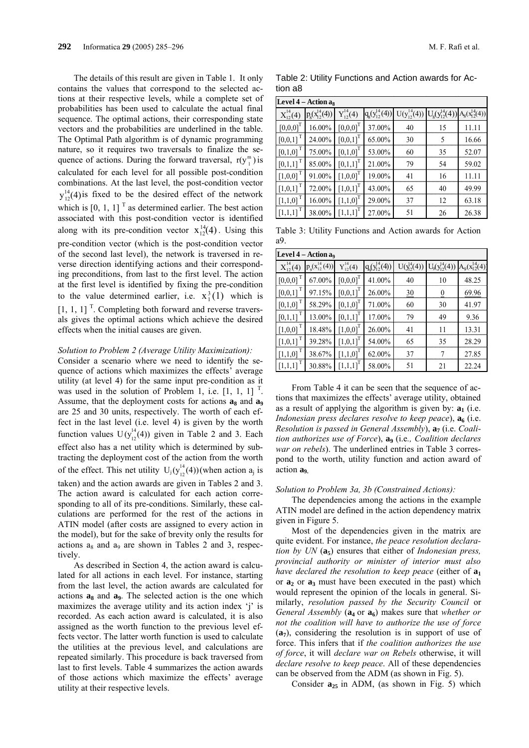The details of this result are given in Table 1. It only contains the values that correspond to the selected actions at their respective levels, while a complete set of probabilities has been used to calculate the actual final sequence. The optimal actions, their corresponding state vectors and the probabilities are underlined in the table. The Optimal Path algorithm is of dynamic programming nature, so it requires two traversals to finalize the sequence of actions. During the forward traversal,  $r(y_1^m)$  is calculated for each level for all possible post-condition combinations. At the last level, the post-condition vector  $y_{12}^{14}(4)$  is fixed to be the desired effect of the network which is  $[0, 1, 1]$ <sup>T</sup> as determined earlier. The best action associated with this post-condition vector is identified along with its pre-condition vector  $x_{12}^{14}(4)$ . Using this pre-condition vector (which is the post-condition vector of the second last level), the network is traversed in reverse direction identifying actions and their corresponding preconditions, from last to the first level. The action at the first level is identified by fixing the pre-condition to the value determined earlier, i.e.  $x_1^3(1)$  which is  $\left[1, 1, 1\right]$ <sup>T</sup>. Completing both forward and reverse traversals gives the optimal actions which achieve the desired effects when the initial causes are given.

#### *Solution to Problem 2 (Average Utility Maximization):*

Consider a scenario where we need to identify the sequence of actions which maximizes the effects' average utility (at level 4) for the same input pre-condition as it was used in the solution of Problem 1, i.e.  $\begin{bmatrix} 1, 1, 1 \end{bmatrix}^T$ . Assume, that the deployment costs for actions  $a_8$  and  $a_9$ are 25 and 30 units, respectively. The worth of each effect in the last level (i.e. level 4) is given by the worth function values  $U(y_{12}^{14}(4))$  given in Table 2 and 3. Each effect also has a net utility which is determined by subtracting the deployment cost of the action from the worth of the effect. This net utility  $U_j(y_{12}^{14}(4))$  (when action  $a_j$  is taken) and the action awards are given in Tables 2 and 3. The action award is calculated for each action corresponding to all of its pre-conditions. Similarly, these calculations are performed for the rest of the actions in ATIN model (after costs are assigned to every action in the model), but for the sake of brevity only the results for actions  $a_8$  and  $a_9$  are shown in Tables 2 and 3, respectively.

As described in Section 4, the action award is calculated for all actions in each level. For instance, starting from the last level, the action awards are calculated for actions  $a_8$  and  $a_9$ . The selected action is the one which maximizes the average utility and its action index 'j' is recorded. As each action award is calculated, it is also assigned as the worth function to the previous level effects vector. The latter worth function is used to calculate the utilities at the previous level, and calculations are repeated similarly. This procedure is back traversed from last to first levels. Table 4 summarizes the action awards of those actions which maximize the effects' average utility at their respective levels.

Table 2: Utility Functions and Action awards for Action a8

| Level $4 -$ Action as    |                         |                  |                       |                  |                                                            |       |  |  |  |
|--------------------------|-------------------------|------------------|-----------------------|------------------|------------------------------------------------------------|-------|--|--|--|
| $X_{12}^{14}(4)$         | $p_{g}(x_{12}^{14}(4))$ | $Y_{12}^{14}(4)$ | $q_g(y_{12}^{14}(4))$ | $U(y_1^{14}(4))$ | $U_g(y_{12}^{14}(4))$ A <sub>8</sub> (x <sub>12</sub> (4)) |       |  |  |  |
| $[0,0,0]^{T}$            | 16.00%                  | $[0,0,0]^{T}$    | 37.00%                | 40               | 15                                                         | 11.11 |  |  |  |
| $[0,0,1]$ <sup>T</sup>   | 24.00%                  | $[0,0,1]^{T}$    | 65.00%                | 30               | 5                                                          | 16.66 |  |  |  |
| $[0,1,0]$ <sup>T</sup>   | 75.00%                  | $[0,1,0]^{T}$    | 53.00%                | 60               | 35                                                         | 52.07 |  |  |  |
| $[0,1,1]$ <sup>T</sup>   | 85.00%                  | $[0,1,1]^{T}$    | 21.00%                | 79               | 54                                                         | 59.02 |  |  |  |
| $[1,0,0]$ <sup>T</sup>   | 91.00%                  | $[1,0,0]^{T}$    | 19.00%                | 41               | 16                                                         | 11.11 |  |  |  |
| $[1,0,1]$ <sup>T</sup>   | 72.00%                  | $[1,0,1]^{T}$    | 43.00%                | 65               | 40                                                         | 49.99 |  |  |  |
| $[1,1,0]$ <sup>T</sup>   | 16.00%                  | $[1,1,0]^{T}$    | 29.00%                | 37               | 12                                                         | 63.18 |  |  |  |
| $\left[1,1,1\right]^{T}$ | 38.00%                  | $[1,1,1]^{T}$    | 27.00%                | 51               | 26                                                         | 26.38 |  |  |  |

Table 3: Utility Functions and Action awards for Action a9.

| Level 4 - Action a <sub>9</sub> |                         |                  |                            |                  |                       |                       |  |  |  |
|---------------------------------|-------------------------|------------------|----------------------------|------------------|-----------------------|-----------------------|--|--|--|
| $X_{12}^{14}(4)$                | $p_{q}(x_{12}^{14}(4))$ | $Y_{12}^{14}(4)$ | $q_{0}^{(y_{12}^{14}(4))}$ | $U(y_2^{14}(4))$ | $U_9(y_{12}^{14}(4))$ | $A_9(x_{12}^{14}(4))$ |  |  |  |
| $[0,0,0]$ <sup>T</sup>          | 67.00%                  | $[0,0,0]^{T}$    | 41.00%                     | 40               | 10                    | 48.25                 |  |  |  |
| $[0,0,1]$ <sup>T</sup>          | 97.15%                  | $[0,0,1]^{T}$    | 26.00%                     | $\frac{30}{2}$   | $\overline{0}$        | 69.96                 |  |  |  |
| $\left[0,1,0\right]^{\top}$     | 58.29%                  | $[0,1,0]^{T}$    | 71.00%                     | 60               | 30                    | 41.97                 |  |  |  |
| $[0,1,1]$ <sup>T</sup>          | 13.00%                  | $[0,1,1]^{T}$    | 17.00%                     | 79               | 49                    | 9.36                  |  |  |  |
| $[1,0,0]$ <sup>T</sup>          | 18.48%                  | $[1,0,0]^{T}$    | 26.00%                     | 41               | 11                    | 13.31                 |  |  |  |
| $[1,0,1]$ <sup>T</sup>          | 39.28%                  | $[1,0,1]^{T}$    | 54.00%                     | 65               | 35                    | 28.29                 |  |  |  |
| $[1,1,0]$ <sup>T</sup>          | 38.67%                  | $[1,1,0]^{T}$    | 62.00%                     | 37               | 7                     | 27.85                 |  |  |  |
| $[1,1,1]$ <sup>T</sup>          | 30.88%                  | $[1,1,1]^{T}$    | 58.00%                     | 51               | 21                    | 22.24                 |  |  |  |

From Table 4 it can be seen that the sequence of actions that maximizes the effects' average utility, obtained as a result of applying the algorithm is given by:  $\mathbf{a}_1$  (i.e. *Indonesian press declares resolve to keep peace*),  $a<sub>6</sub>$  (i.e. *Resolution is passed in General Assembly*),  $a_7$  (i.e. *Coalition authorizes use of Force*), **a**<sup> $\alpha$ </sup> (i.e., *Coalition declares war on rebels*). The underlined entries in Table 3 correspond to the worth, utility function and action award of action **a**<sup>o</sup>

#### *Solution to Problem 3a, 3b (Constrained Actions):*

The dependencies among the actions in the example ATIN model are defined in the action dependency matrix given in Figure 5.

Most of the dependencies given in the matrix are quite evident. For instance, *the peace resolution declaration by UN* ( $a_5$ ) ensures that either of *Indonesian press, provincial authority or minister of interior must also have declared the resolution to keep peace* (either of  $a_1$ or  $a_2$  or  $a_3$  must have been executed in the past) which would represent the opinion of the locals in general. Similarly, *resolution passed by the Security Council* or *General Assembly* ( $\mathbf{a}_4$  or  $\mathbf{a}_6$ ) makes sure that *whether or not the coalition will have to authorize the use of force* (**a7**), considering the resolution is in support of use of force. This infers that if *the coalition authorizes the use of force*, it will *declare war on Rebels* otherwise, it will *declare resolve to keep peace*. All of these dependencies can be observed from the ADM (as shown in Fig. 5).

Consider  $a_{25}$  in ADM, (as shown in Fig. 5) which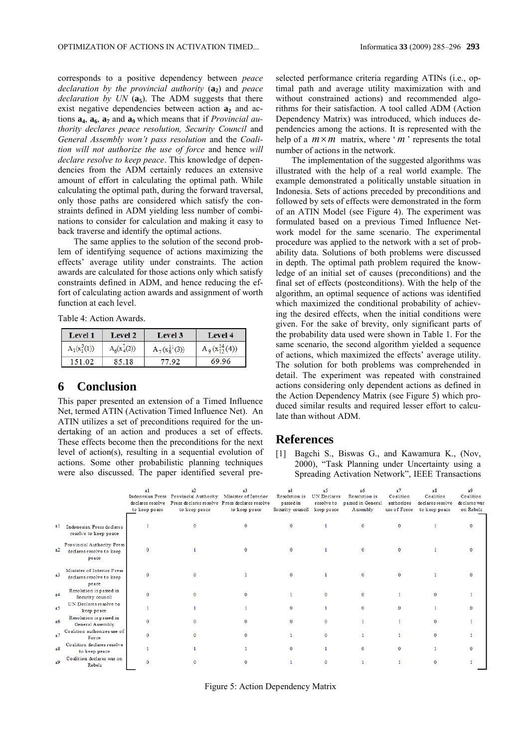corresponds to a positive dependency between *peace declaration by the provincial authority* (a<sub>2</sub>) and *peace declaration by UN* (a<sub>5</sub>). The ADM suggests that there exist negative dependencies between action  $a_2$  and actions **a<sub>4</sub>**, **a<sub>6</sub>**, **a<sub>7</sub>** and **a**<sub>9</sub> which means that if *Provincial authority declares peace resolution, Security Council* and *General Assembly won't pass resolution* and the *Coalition will not authorize the use of force* and hence *will declare resolve to keep peace*. This knowledge of dependencies from the ADM certainly reduces an extensive amount of effort in calculating the optimal path. While calculating the optimal path, during the forward traversal, only those paths are considered which satisfy the constraints defined in ADM yielding less number of combinations to consider for calculation and making it easy to back traverse and identify the optimal actions.

The same applies to the solution of the second problem of identifying sequence of actions maximizing the effects' average utility under constraints. The action awards are calculated for those actions only which satisfy constraints defined in ADM, and hence reducing the effort of calculating action awards and assignment of worth function at each level.

Table 4: Action Awards.

| <b>Level 1</b>  | <b>Level 2</b>  | <b>Level 3</b>     | <b>Level 4</b>        |  |  |
|-----------------|-----------------|--------------------|-----------------------|--|--|
| $A_1(x_1^3(1))$ | $A_6(x_4^7(2))$ | $A_7(x_8^{11}(3))$ | $A_0(x_{12}^{14}(4))$ |  |  |
| 151.02          | 85.18           | 77.92              | 69.96                 |  |  |

# **6 Conclusion**

This paper presented an extension of a Timed Influence Net, termed ATIN (Activation Timed Influence Net). An ATIN utilizes a set of preconditions required for the undertaking of an action and produces a set of effects. These effects become then the preconditions for the next level of action(s), resulting in a sequential evolution of actions. Some other probabilistic planning techniques were also discussed. The paper identified several preselected performance criteria regarding ATINs (i.e., optimal path and average utility maximization with and without constrained actions) and recommended algorithms for their satisfaction. A tool called ADM (Action Dependency Matrix) was introduced, which induces dependencies among the actions. It is represented with the help of a  $m \times m$  matrix, where 'm' represents the total number of actions in the network.

The implementation of the suggested algorithms was illustrated with the help of a real world example. The example demonstrated a politically unstable situation in Indonesia. Sets of actions preceded by preconditions and followed by sets of effects were demonstrated in the form of an ATIN Model (see Figure 4). The experiment was formulated based on a previous Timed Influence Network model for the same scenario. The experimental procedure was applied to the network with a set of probability data. Solutions of both problems were discussed in depth. The optimal path problem required the knowledge of an initial set of causes (preconditions) and the final set of effects (postconditions). With the help of the algorithm, an optimal sequence of actions was identified which maximized the conditional probability of achieving the desired effects, when the initial conditions were given. For the sake of brevity, only significant parts of the probability data used were shown in Table 1. For the same scenario, the second algorithm yielded a sequence of actions, which maximized the effects' average utility. The solution for both problems was comprehended in detail. The experiment was repeated with constrained actions considering only dependent actions as defined in the Action Dependency Matrix (see Figure 5) which produced similar results and required lesser effort to calculate than without ADM.

# **References**

[1] Bagchi S., Biswas G., and Kawamura K., (Nov, 2000), "Task Planning under Uncertainty using a Spreading Activation Network", IEEE Transactions

|                |                                                                 | a1<br>to keep peace | a2<br>Indonesian Press Provincial Authority Minister of Interior<br>declares resolve Press declares resolve Press declares resolve<br>to keep peace | a <sup>3</sup><br>to keep peace | а4<br>Resolution is<br>passed in<br>Security council keep peace | 3 <sup>5</sup><br>UN Declares<br>resolve to | a6<br>Resolution is<br>passed in General<br>A ssembly | a <sub>7</sub><br>Coalition<br>authorizes<br>use of Force | a8<br>Coalition<br>declares resolve<br>to keep peace | a <sub>9</sub><br>Coalition<br>declares war<br>on Rebels |
|----------------|-----------------------------------------------------------------|---------------------|-----------------------------------------------------------------------------------------------------------------------------------------------------|---------------------------------|-----------------------------------------------------------------|---------------------------------------------|-------------------------------------------------------|-----------------------------------------------------------|------------------------------------------------------|----------------------------------------------------------|
|                | al Indonesian Press declares<br>resolve to keep peace           |                     | O                                                                                                                                                   | $\Omega$                        | $\mathbf{0}$                                                    |                                             | $\mathbf 0$                                           | $\Omega$                                                  |                                                      |                                                          |
| a2             | Provincial Authority Press<br>declares resolve to keep<br>peace | $\mathbf{0}$        |                                                                                                                                                     | $\Omega$                        | $\Omega$                                                        |                                             | $\mathbf{0}$                                          | $\Omega$                                                  |                                                      |                                                          |
| a <sup>3</sup> | Minister of Interior Press<br>declares resolve to keep<br>peace | $\Omega$            |                                                                                                                                                     |                                 | $\Omega$                                                        |                                             | $\Omega$                                              |                                                           |                                                      |                                                          |
| a <sub>4</sub> | Resolution is passed in<br>Security council                     | 0                   | $\Omega$                                                                                                                                            | $\Omega$                        |                                                                 | $\Omega$                                    | $\Omega$                                              |                                                           | $\Omega$                                             |                                                          |
| a <sub>5</sub> | UN Declares resolve to<br>keep peace                            |                     |                                                                                                                                                     |                                 | $\Omega$                                                        |                                             | $\Omega$                                              |                                                           |                                                      |                                                          |
| a6             | Resolution is passed in<br>General Assembly                     | $\bf{0}$            | $\mathbf{0}$                                                                                                                                        | $\Omega$                        | $\mathbf{0}$                                                    | $\mathbf{0}$                                |                                                       |                                                           | $\bf{0}$                                             |                                                          |
| a7             | Coalition authorizes use of<br>Force                            | 0                   | $\Omega$                                                                                                                                            | $\Omega$                        |                                                                 | $\mathbf 0$                                 |                                                       |                                                           | $\Omega$                                             |                                                          |
| a <sup>8</sup> | Coalition declares resolve<br>to keep peace                     |                     |                                                                                                                                                     |                                 | $\Omega$                                                        |                                             | $\mathbf{0}$                                          | $\Omega$                                                  |                                                      |                                                          |
| 39             | Coalition declares war on<br>Rebels                             | 0                   |                                                                                                                                                     | 0                               |                                                                 | $\Omega$                                    |                                                       |                                                           | $\Omega$                                             |                                                          |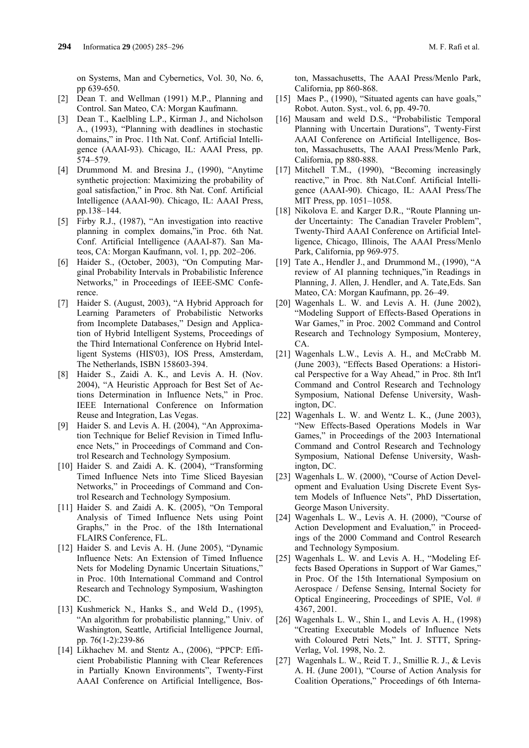on Systems, Man and Cybernetics, Vol. 30, No. 6, pp 639-650.

- [2] Dean T. and Wellman (1991) M.P., Planning and Control. San Mateo, CA: Morgan Kaufmann.
- [3] Dean T., Kaelbling L.P., Kirman J., and Nicholson A., (1993), "Planning with deadlines in stochastic domains," in Proc. 11th Nat. Conf. Artificial Intelligence (AAAI-93). Chicago, IL: AAAI Press, pp. 574–579.
- [4] Drummond M. and Bresina J., (1990), "Anytime synthetic projection: Maximizing the probability of goal satisfaction," in Proc. 8th Nat. Conf. Artificial Intelligence (AAAI-90). Chicago, IL: AAAI Press, pp.138–144.
- [5] Firby R.J., (1987), "An investigation into reactive planning in complex domains,"in Proc. 6th Nat. Conf. Artificial Intelligence (AAAI-87). San Mateos, CA: Morgan Kaufmann, vol. 1, pp. 202–206.
- [6] Haider S., (October, 2003), "On Computing Marginal Probability Intervals in Probabilistic Inference Networks," in Proceedings of IEEE-SMC Conference.
- [7] Haider S. (August, 2003), "A Hybrid Approach for Learning Parameters of Probabilistic Networks from Incomplete Databases," Design and Application of Hybrid Intelligent Systems, Proceedings of the Third International Conference on Hybrid Intelligent Systems (HIS'03), IOS Press, Amsterdam, The Netherlands, ISBN 158603-394.
- [8] Haider S., Zaidi A. K., and Levis A. H. (Nov. 2004), "A Heuristic Approach for Best Set of Actions Determination in Influence Nets," in Proc. IEEE International Conference on Information Reuse and Integration, Las Vegas.
- [9] Haider S. and Levis A. H. (2004), "An Approximation Technique for Belief Revision in Timed Influence Nets," in Proceedings of Command and Control Research and Technology Symposium.
- [10] Haider S. and Zaidi A. K. (2004), "Transforming Timed Influence Nets into Time Sliced Bayesian Networks," in Proceedings of Command and Control Research and Technology Symposium.
- [11] Haider S. and Zaidi A. K. (2005), "On Temporal Analysis of Timed Influence Nets using Point Graphs," in the Proc. of the 18th International FLAIRS Conference, FL.
- [12] Haider S. and Levis A. H. (June 2005), "Dynamic Influence Nets: An Extension of Timed Influence Nets for Modeling Dynamic Uncertain Situations," in Proc. 10th International Command and Control Research and Technology Symposium, Washington DC.
- [13] Kushmerick N., Hanks S., and Weld D., (1995), "An algorithm for probabilistic planning," Univ. of Washington, Seattle, Artificial Intelligence Journal, pp. 76(1-2):239-86
- [14] Likhachev M. and Stentz A., (2006), "PPCP: Efficient Probabilistic Planning with Clear References in Partially Known Environments", Twenty-First AAAI Conference on Artificial Intelligence, Bos-

ton, Massachusetts, The AAAI Press/Menlo Park, California, pp 860-868.

- [15] Maes P., (1990), "Situated agents can have goals," Robot. Auton. Syst., vol. 6, pp. 49-70.
- [16] Mausam and weld D.S., "Probabilistic Temporal Planning with Uncertain Durations", Twenty-First AAAI Conference on Artificial Intelligence, Boston, Massachusetts, The AAAI Press/Menlo Park, California, pp 880-888.
- [17] Mitchell T.M., (1990), "Becoming increasingly reactive," in Proc. 8th Nat.Conf. Artificial Intelligence (AAAI-90). Chicago, IL: AAAI Press/The MIT Press, pp. 1051–1058.
- [18] Nikolova E. and Karger D.R., "Route Planning under Uncertainty: The Canadian Traveler Problem", Twenty-Third AAAI Conference on Artificial Intelligence, Chicago, Illinois, The AAAI Press/Menlo Park, California, pp 969-975.
- [19] Tate A., Hendler J., and Drummond M., (1990), "A review of AI planning techniques,"in Readings in Planning, J. Allen, J. Hendler, and A. Tate,Eds. San Mateo, CA: Morgan Kaufmann, pp. 26–49.
- [20] Wagenhals L. W. and Levis A. H. (June 2002), "Modeling Support of Effects-Based Operations in War Games," in Proc. 2002 Command and Control Research and Technology Symposium, Monterey, CA.
- [21] Wagenhals L.W., Levis A. H., and McCrabb M. (June 2003), "Effects Based Operations: a Historical Perspective for a Way Ahead," in Proc. 8th Int'l Command and Control Research and Technology Symposium, National Defense University, Washington, DC.
- [22] Wagenhals L. W. and Wentz L. K., (June 2003), "New Effects-Based Operations Models in War Games," in Proceedings of the 2003 International Command and Control Research and Technology Symposium, National Defense University, Washington, DC.
- [23] Wagenhals L. W. (2000), "Course of Action Development and Evaluation Using Discrete Event System Models of Influence Nets", PhD Dissertation, George Mason University.
- [24] Wagenhals L. W., Levis A. H. (2000), "Course of Action Development and Evaluation," in Proceedings of the 2000 Command and Control Research and Technology Symposium.
- [25] Wagenhals L. W. and Levis A. H., "Modeling Effects Based Operations in Support of War Games," in Proc. Of the 15th International Symposium on Aerospace / Defense Sensing, Internal Society for Optical Engineering, Proceedings of SPIE, Vol. # 4367, 2001.
- [26] Wagenhals L. W., Shin I., and Levis A. H., (1998) "Creating Executable Models of Influence Nets with Coloured Petri Nets," Int. J. STTT, Spring-Verlag, Vol. 1998, No. 2.
- [27] Wagenhals L. W., Reid T. J., Smillie R. J., & Levis A. H. (June 2001), "Course of Action Analysis for Coalition Operations," Proceedings of 6th Interna-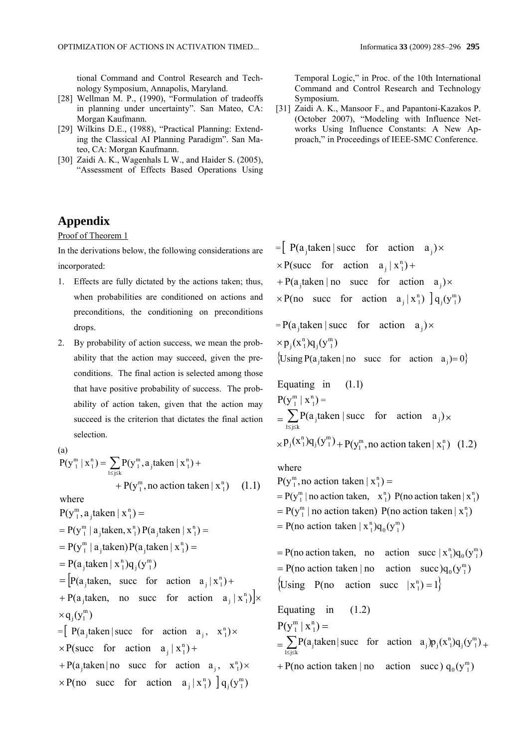tional Command and Control Research and Technology Symposium, Annapolis, Maryland.

- [28] Wellman M. P., (1990), "Formulation of tradeoffs in planning under uncertainty". San Mateo, CA: Morgan Kaufmann.
- [29] Wilkins D.E., (1988), "Practical Planning: Extending the Classical AI Planning Paradigm". San Mateo, CA: Morgan Kaufmann.
- [30] Zaidi A. K., Wagenhals L W., and Haider S. (2005), "Assessment of Effects Based Operations Using

# **Appendix**

Proof of Theorem 1

In the derivations below, the following considerations are incorporated:

- 1. Effects are fully dictated by the actions taken; thus, when probabilities are conditioned on actions and preconditions, the conditioning on preconditions drops.
- 2. By probability of action success, we mean the probability that the action may succeed, given the preconditions. The final action is selected among those that have positive probability of success. The probability of action taken, given that the action may succeed is the criterion that dictates the final action selection.

(a)  $P(y_1^m | x_1^n) = \sum_{1 \le j \le k} P(y_1^m, a_j \text{taken } | x_1^n) +$ +  $P(y_1^m, no action taken | x_1^n)$  (1.1) where  $P(y_1^m, a_j)$ taken  $|x_1^n)$  = m 1  $= P(y_1^m | a_j$ taken, x<sup>n</sup><sub>1</sub>)  $P(a_j$ taken  $|x_1^n)$  =  $= P(y_1^m | a_j$ taken) $P(a_j$ taken  $x_1^n)$  = m 1  $= P(a_j \text{taken} | x_1^n) q_j(y_1^m)$  $=$   $\left[ P(a_j \text{taken}, \text{ succ for action } a_j | x_1^n \right) +$ + P(a<sub>j</sub>taken, no succ for action  $a_j | x_1^n$ ) |  $\times$  $\times q_i(y_1^m)$  $=[P(a_j)$  taken | succ for action  $a_j$ ,  $x_1^n$ ) ×  $\times$  P(succ for action  $a_j | x_1^n$ ) + + P(a<sub>j</sub>taken | no succ for action  $a_j$ ,  $x_1^n$ ) ×  $\times P$ (no succ for action  $a_j | x_1^n$ )  $] q_j(y_1^m)$ 

[31] Zaidi A. K., Mansoor F., and Papantoni-Kazakos P. (October 2007), "Modeling with Influence Networks Using Influence Constants: A New Approach," in Proceedings of IEEE-SMC Conference.

 $=$  P(a<sub>j</sub>taken | succ for action a<sub>j</sub>) ×  $\times$  P(succ for action  $a_j | x_1^n$ ) + + P(a<sub>j</sub>taken | no succ for action  $a_j$ ) ×  $\times P$ (no succ for action  $a_j | x_1^n$ )  $] q_j(y_1^m)$  $= P(a_j)$  taken | succ for action  $a_j$ ) ×  $\times p_j(x_1^n)q_j(y_1^m)$ {Using P(a<sub>j</sub>taken | no succ for action  $a_j$ ) = 0} Equating in  $(1.1)$  $P(y_1^m | x_1^n)$ 1  $\binom{m}{1}$   $\mid$   $\binom{n}{1}$  =  $=\sum_{1\leq j\leq k} P(a_j)$  taken | succ for action  $a_j$ ) x  $P(a_j)$  taken | succ for action  $a_j$ )  $p_j(x_1^n)q_j(y_1^m)$  +  $p(y_1^m,$  no action taken  $|x_1^n)$ m 1 m  $j \vee j$  1  $_{\times}$ P<sub>j</sub>(x<sup>n</sup><sub>1</sub>) $q_j(y_1^m)$  + P(y<sub>n</sub><sub>1</sub>, no action taken | x<sup>n</sup><sub>1</sub>) (1.2)

where

 $P(y_1^m, no action taken | x_1^n) =$  $= P(y_1^m \mid no action taken, x_1^n) P(no action taken | x_1^n)$  $P(y_1^m \mid no$  action taken)  $P(no$  action taken  $|x_1^n$  $= P(y_1^m \mid \text{no action taken}) P(\text{no action taken} \mid x_1^m)$ = P(no action taken  $|x_1^n]q_0(y_1^m)$ = P(no action taken, no action succ  $|x_1^n]q_0(y_1^m)$  $= P(\text{no action taken} \mid \text{no action} \quad \text{actor})q_0(\text{y}_{\text{n}}^{\text{m}})$ {Using P(no action succ  $|x_1^n|=1$ } Equating in  $(1.2)$  $P(y_1^m | x_1^n) =$ m 1  $=\sum_{1\leq j\leq k} P(a_j \text{ taken}|\text{ succ for action } a_j)p_j(x_1^n)q_j(y_1^m)$  $1 \le j \le k$  $j$  and  $j$  action  $a_j$ + P(no action taken | no action succ)  $q_0(y_1^m)$